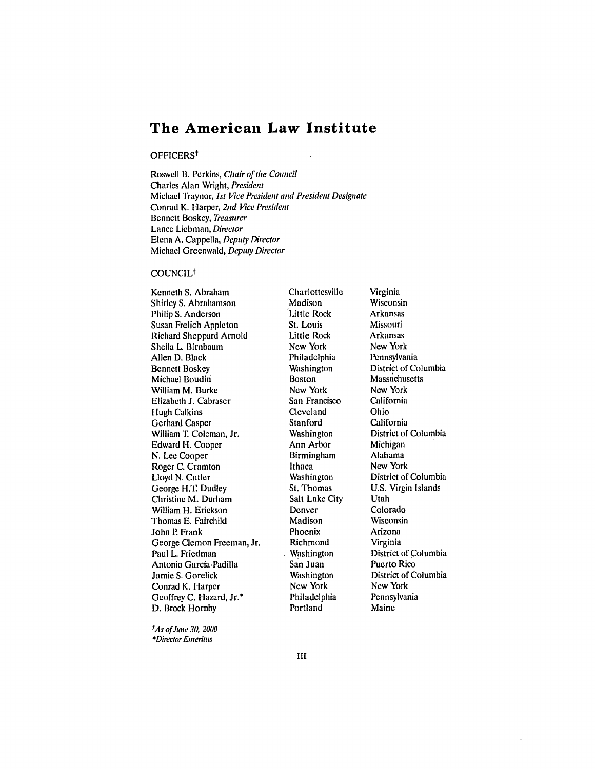# **The American Law Institute**

## OFFICERS<sup>t</sup>

Roswell B. Perkins, Chair of the Council Charles Alan Wright, President Michael Traynor, *1st* Vice President and President Designate Conrad K. Harper, 2nd *Vice* President Bennett Boskey, Treasurer Lance Liebman, Director Elena A. Cappella, Deputy Director Michael Greenwald, Deputy Director

#### COUNCILt

Kenneth **S.** Abraham Shirley S. Abrahamson Philip S. Anderson Susan Frelich Appleton Richard Sheppard Arnold Sheila L. Birnbaum Allen D. Black Bennett Boskey Michael Boudin William M. Burke Elizabeth J. Cabraser Hugh Calkins Gerhard Casper William T. Coleman, Jr. Edward H. Cooper N. Lee Cooper Roger C. Cramton Lloyd N. Cutler George H.T. Dudley Christine M. Durham William H. Erickson Thomas E. Fairchild John P. Frank George Clemon Freeman, Jr. Paul L. Friedman Antonio Garcia-Padilla Jamie S. Gorelick Conrad K. Harper Geoffrey C. Hazard, Jr.\* D. Brock Hornby

Charlottesville Madison Little Rock St. Louis Little Rock New York Philadelphia Washington **Boston** New York San Francisco Cleveland Stanford **Washington** Ann Arbor Birmingham Ithaca Washington St. Thomas Salt Lake City Denver Madison Phoenix Richmond Washington San Juan Washington New York Philadelphia Portland

Virginia Wisconsin Arkansas Missouri Arkansas New York Pennsylvania District of Columbia Massachusetts New York California Ohio California District of Columbia Michigan Alabama New York District of Columbia U.S. Virgin Islands Utah Colorado Wisconsin Arizona Virginia District of Columbia Puerto Rico District of Columbia New York Pennsylvania Maine

tAs of June **30,** <sup>2000</sup> \*Director Emeritus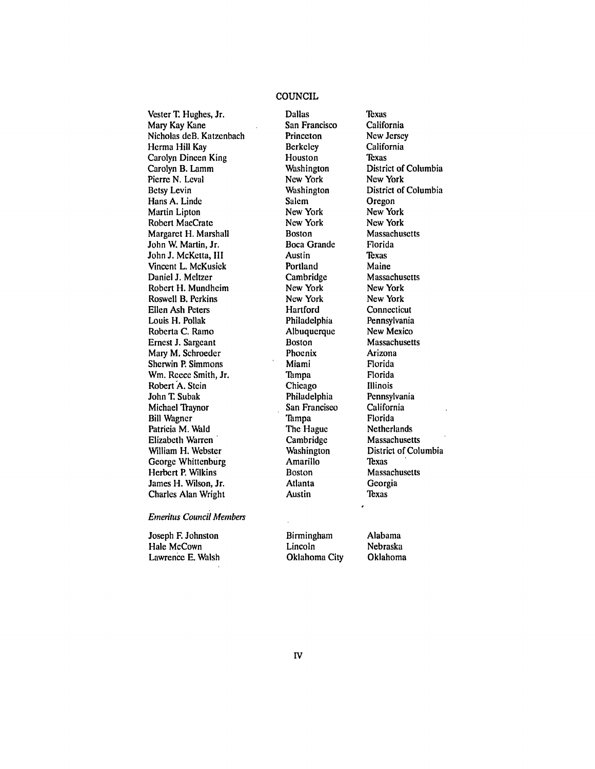# **COUNCIL**

Vester T. Hughes, Jr. Mary Kay Kane Nicholas deB. Katzenbach Herma Hill Kay Carolyn Dineen King Carolyn B. Lamm Pierre N. Leval Betsy Levin Hans A. Linde Martin Lipton Robert MacCrate Margaret H. Marshall John W. Martin, Jr. John **J.** McKetta, III Vincent L. McKusick Daniel J. Meltzer Robert H. Mundheim Roswell B. Perkins Ellen Ash Peters Louis H. Pollak Roberta C. Ramo Ernest **J.** Sargeant Mary M. Schroeder Sherwin P. Simmons Win. Reece Smith, Jr. Robert A. Stein John T. Subak Michael Traynor Bill Wagner Patricia M. Wald Elizabeth Warren William H. Webster George Whittenburg Herbert P. Wilkins James H. Wilson, Jr. Charles Alan Wright

Dallas San Francisco Princeton Berkeley Houston Washington New York Washington Salem New York New York Boston Boca Grande Austin Portland **Cambridge** New York New York Hartford Philadelphia Albuquerque Boston Phoenix Miami Tampa Chicago Philadelphia San Francisco Tampa The Hague Cambridge Washington Amarillo Boston Atlanta Austin

Texas California New Jersey California Texas District of Columbia New York District of Columbia Oregon New York New York **Massachusetts** Florida Texas Maine Massachusetts New York New York **Connecticut** Pennsylvania New Mexico **Massachusetts** Arizona Florida Florida Illinois Pennsylvania California Florida Netherlands Massachusetts District of Columbia **T**exas Massachusetts Georgia Texas

*Emeritus* Councii *Members*

Joseph F. Johnston Hale McCown Lawrence E. Walsh Birmingham Lincoln Oklahoma City Alabama Nebraska Oklahoma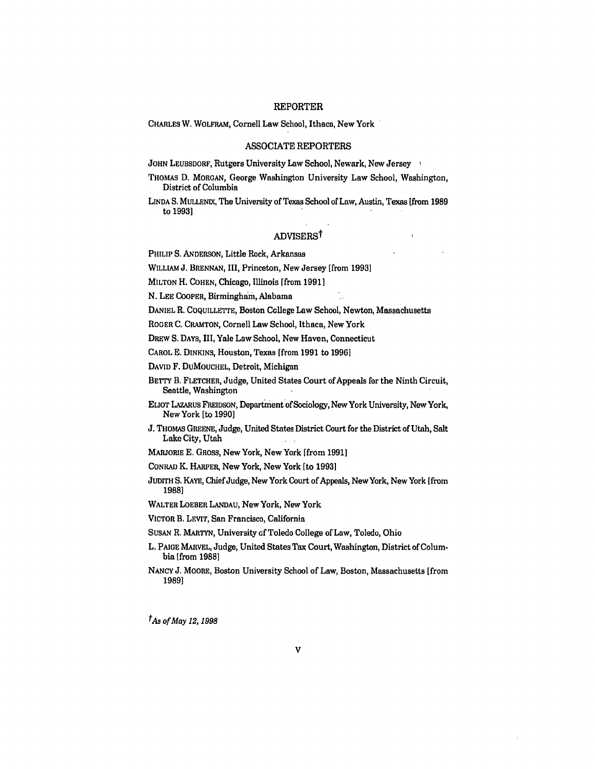## REPORTER

CHARLES W. WOLFRAM, Cornell Law School, Ithaca, New York

#### ASSOCIATE REPORTERS

JOHN LEUBSDORF, Rutgers University Law School, Newark, New Jersey

THOMAS D. MORGAN, George Washington University Law School, Washington, District of Columbia

**LINDA** S. MuLLENIx, The University of Texas School of Law, Austin, Texas [from **1989** to **1993]**

# ADVISERSf

 $\mathbf{r}$ 

PHILIP S. ANDERSON, Little Rock, Arkansas

WILLIAM J. BRENNAN, III, Princeton, New Jersey [from **1993]**

MILTON H. COHEN, Chicago, Illinois [from **1991]**

**N. LEE** COOPER, Birmingham, Alabama

DANIEL R. COQUILLETTE, Boston College Law School, Newton, Massachusetts

ROGER **C.** CRAMTON, Cornell Law School, Ithaca, New York

DREW S. DAYS, III, Yale Law School, New Haven, Connecticut

CAROL **E.** DINKINS, Houston, Texas [from **1991** to **1996]**

**DAVID** F. DUMOUCHEL, Detroit, Michigan

- BETTY B. FLETCHER, Judge, United States Court of Appeals for the Ninth Circuit, Seattle, Washington
- ELIOT LAZARUS FREIDSON, Department of Sociology, New York University, New York, New York [to **1990]**
- **J.** THOMAS GREENE, Judge, United States District Court for the District of Utah, Salt Lake City, Utah
- MARJORIE **E. GROSS,** New York, New York [from **1991]**
- **CONRAD** K. HARPER, New York, New York [to **1993]**
- JUDITH S. KAYE, Chief Judge, New York Court of Appeals, New York, New York [from **1988]**
- WALTER LOEBER LANDAU, New York, New York
- VICTOR B. LEVIT, San Francisco, California

SUSAN R. MARTYN, University of Toledo College of Law, Toledo, Ohio

- L. PAIGE MARVEL, Judge, United States Tax Court, Washington, District of Columbia [from **1988]**
- NANCY **J.** MOORE, Boston University School of Law, Boston, Massachusetts [from **1989]**

*tAs of May 12, 1998*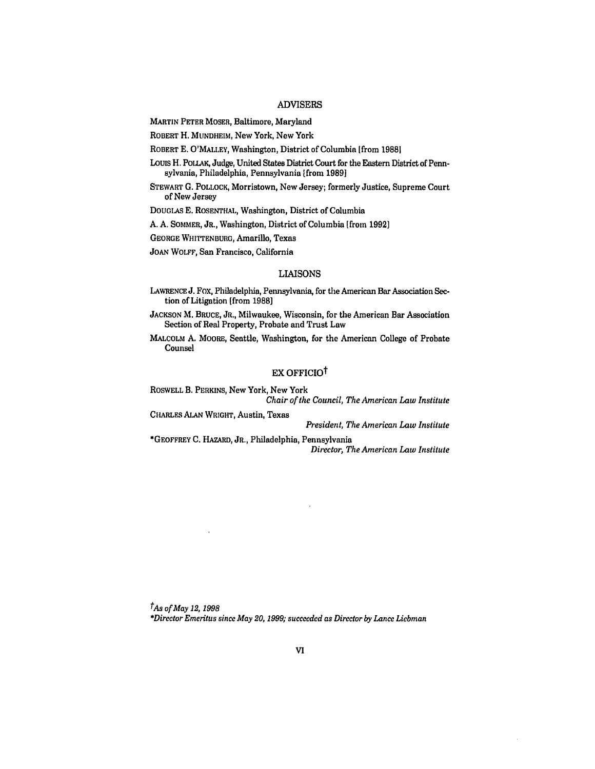## ADVISERS

MARTIN PETER MOSER, Baltimore, Maryland

ROBERT H. MUNDHEIM, New York, New York

ROBERT **E.** O'MALLEY, Washington, District of Columbia [from **19881**

Louis H. POLLAK, Judge, United States District Court for the Eastern District of Pennsylvania, Philadelphia, Pennsylvania [from **1989]**

STEWART **G.** POLLOCK, Morristown, New Jersey; formerly Justice, Supreme Court of New Jersey

DOUGLAS **E.** ROSENTHAL, Washington, District of Columbia

**A. A.** SOMMER, JR., Washington, District of Columbia [from **1992]**

GEORGE WHITTENBURG, Amarillo, Texas

JOAN WOLFF, San Francisco, California

## LIAISONS

LAWRENCE **J.** Fox, Philadelphia, Pennsylvania, for the American Bar Association Section of Litigation [from **1988]**

JACKSON M. BRUCE, JR., Milwaukee, Wisconsin, for the American Bar Association Section of Real Property, Probate and Trust Law

MALCOLM A. MOORE, Seattle, Washington, for the American College of Probate Counsel

# EX OFFICIO<sup>†</sup>

ROSWELL B. PERKINS, New York, New York *Chair of the Council, The American Law Institute*

CHARLES ALAN WRIGHT, Austin, Texas *President, The American Law Institute*

\*GEOFFREY **C.** HAZARD, JR., Philadelphia, Pennsylvania *Director, The American Law Institute*

*tAs of May 12, 1998 \*Director Emeritus since May 20, 1999; succeeded as Director by Lance Liebman*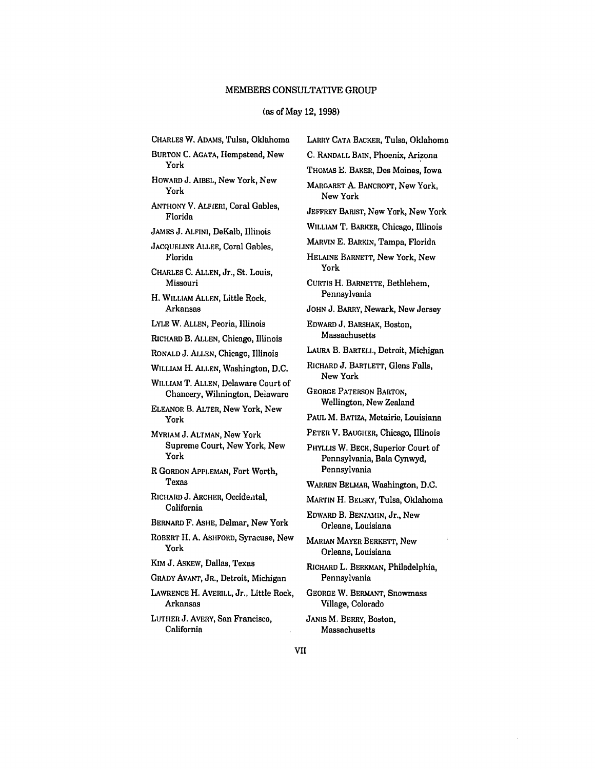#### (as of May 12, 1998)

CHARLES W. ADAMs, Tulsa, Oklahoma BURTON C. AGATA, Hempstead, New York HOWARD J. AIBEL, New York, New York ANTHONY V. ALFIERI, Coral Gables, Florida JAMES J. **ALFINI,** DeKalb, Illinois JACQUELINE ALLEE, Coral Gables, Florida CHARLES C. ALLEN, Jr., St. Louis, Missouri H. WILLIAM ALLEN, Little Rock, Arkansas LYLE W. ALLEN, Peoria, Illinois RICHARD B. ALLEN, Chicago, Illinois RONALD J. ALLEN, Chicago, Illinois WILLIAM H. ALLEN, Washington, D.C. WILLIAM T. ALLEN, Delaware Court of Chancery, Wilmington, Deiaware ELEANOR B. ALTER, New York, New York MYRIAM J. ALTMAN, New York Supreme Court, New York, New York R GORDON APPLEMAN, Fort Worth, Texas RICHARD J. ARCHER, Occidental, California BERNARD F. ASHE, Delmar, New York ROBERT H. A. ASHFORD, Syracuse, New York KIM J. ASKEW, Dallas, Texas GRADY AVANT, JR., Detroit, Michigan LAWRENCE H. AVERILL, Jr., Little Rock, Arkansas LUTHER J. AVERY, San Francisco, California

LARRY CATA BACKER, Tulsa, Oklahoma **C.** RANDALL BAIN, Phoenix, Arizona THOMAS E. BAKER, Des Moines, Iowa MARGARET A. BANCROFT, New York, New York JEFFREY BARIST, New York, New York WILLIAM T. BARKER, Chicago, Illinois MARVIN E. BARKIN, Tampa, Florida HELAINE BARNETT, New York, New York CURTIS H. BARNETTE, Bethlehem, Pennsylvania JOHN J. BARRY, Newark, New Jersey EDWARD J. BARSHAK, Boston, Massachusetts LAURA B. BARTELL, Detroit, Michigan RICHARD J. BARTLETT, Glens Falls, New York GEORGE PATERSON BARTON, Wellington, New Zealand PAUL M. BATIZA, Metairie, Louisiana PETER V. BAUGHER, Chicago, Illinois PHYLLIS W. BECK, Superior Court of Pennsylvania, Bala Cynwyd, Pennsylvania WARREN BELMAR, Washington, D.C. MARTIN H. BELSKY, Tulsa, Oklahoma EDWARD B. BENJAMIN, Jr., New Orleans, Louisiana MARIAN MAYER BERKETT, New Orleans, Louisiana RICHARD L. BERKMAN, Philadelphia, Pennsylvania GEORGE W. BERMANT, Snowmass Village, Colorado JANIS M. BERRY, Boston,

Massachusetts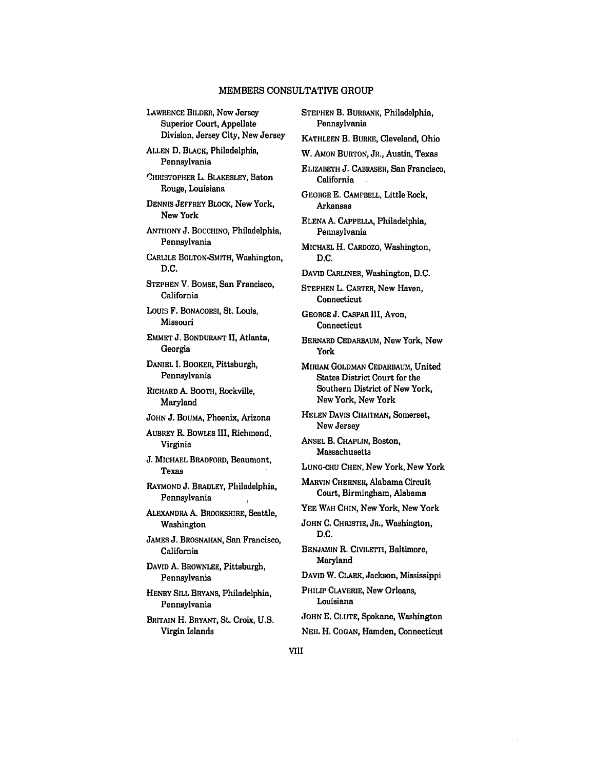LAWRENCE BILDER, New Jersey Superior Court, Appellate Division, Jersey City, New Jersey **ALLEN** D. BLACK, Philadelphia, Pennsylvania CHRISTOPHER L. BLAKESLEY, Baton Rouge, Louisiana DENNIS JEFFREY BLOCK, New York, New York **ANTHONY** J. BOCCHINO, Philadelphia, Pennsylvania CARLILE BOLTON-SMITH, Washington, **D.C.** STEPHEN V. BOMSE, San Francisco, California Louis F. BONACORSI, St. Louis, Missouri EMMET **J.** BONDURANT **II,** Atlanta, Georgia DANIEL I. BOOKER, Pittsburgh, Pennsylvania RICHARD **A.** BOOTH, Rockville, Maryland **JOHN** J. BOUMA, Phoenix, Arizona AUBREY R. BOWLES III, Richmond, Virginia J. MICHAEL BRADFORD, Beaumont, Texas RAYMOND **J.** BRADLEY, Philadelphia, Pennsylvania ALEXANDRA **A.** BROOKSHIRE, Seattle, Washington JAMES J. BROSNAHAN, San Francisco, California DAVID **A.** BROWNLEE, Pittsburgh, Pennsylvania HENRY SILL BRYANS, Philadelphia, Pennsylvania BRITAIN H. BRYANT, St. Croix, **U.S.** Virgin Islands

STEPHEN B. BURBANK, Philadelphia, Pennsylvania KATHLEEN B. BURKE, Cleveland, Ohio W. AMON BURTON, JR., Austin, Texas ELIZABETH J. CABRASER, San Francisco, California GEORGE **E.** CAMPBELL, Little Rock, Arkansas ELENA **A.** CAPPELLA, Philadelphia, Pennsylvania MICHAEL H. CARDOZO, Washington, D.C. DAVID CARLINER, Washington, **D.C.** STEPHEN L. CARTER, New Haven, **Connecticut** GEORGE **J.** CASPAR III, Avon, Connecticut BERNARD CEDARBAUM, New York, New York **MIRIAM GOLDMAN CEDARBAUM, United** States District Court for the Southern District of New York, New York, New York HELEN DAVIS CHAITMAN, Somerset, New Jersey ANSEL B. CHAPLIN, Boston, Massachusetts **LUNG-CHU** CHEN, New York, New York MARVIN CHERNER, Alabama Circuit Court, Birmingham, Alabama YEE WAH **CHIN,** New York, New York **JOHN C.** CHRISTIE, JR., Washington, D.C. BENJAMIN R. CIVILETTI, Baltimore, Maryland DAVID W. CLARK, Jackson, Mississippi PHILIP CLAVERIE, New Orleans, Louisiana JOHN **E.** CLUTE, Spokane, Washington NEIL H. COGAN, Hamden, Connecticut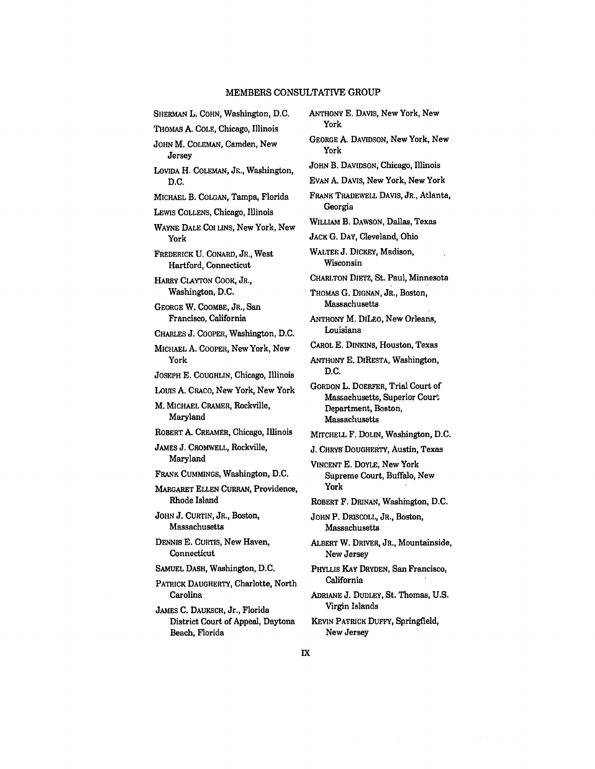| SHERMAN L. COHN, Washington, D.C.                                   | A٨             |
|---------------------------------------------------------------------|----------------|
| THOMAS A. COLE, Chicago, Illinois                                   |                |
| JOHN M. COLEMAN, Camden, New<br>Jersey                              | GE             |
| LOVIDA H. COLEMAN, JR., Washington,                                 | Jo             |
| D.C.                                                                | E٧             |
| MICHAEL B. COLGAN, Tampa, Florida                                   | Fr             |
| LEWIS COLLENS, Chicago, Illinois                                    |                |
| WAYNE DALE COI LINS, New York, New<br>York                          | Wı<br>JA       |
| FREDERICK U. CONARD, JR., West<br>Hartford, Connecticut             | W,             |
| HARRY CLAYTON COOK, JR.,                                            | СF             |
| Washington, D.C.                                                    | Тı             |
| GEORGE W. COOMBE, JR., San<br>Francisco, California                 | A١             |
| CHARLES J. COOPER, Washington, D.C.                                 |                |
| MICHAEL A. COOPER, New York, New<br>York                            | Cл<br>A١       |
| JOSEPH E. COUGHLIN, Chicago, Illinois                               |                |
| LOUIS A. CRACO, New York, New York                                  | G <sub>0</sub> |
| M. MICHAEL CRAMER, Rockville,<br>Maryland                           |                |
| ROBERT A. CREAMER, Chicago, Illinois                                | M              |
| JAMES J. CROMWELL, Rockville,                                       | J.             |
| Maryland                                                            | Vı             |
| FRANK CUMMINGS, Washington, D.C.                                    |                |
| MARGARET ELLEN CURRAN, Providence,<br>Rhode Island                  | R              |
| JOHN J. CURTIN, JR., Boston,<br>Massachusetts                       | Jc             |
| DENNIS E. CURTIS, New Haven,<br>Connecticut                         | Aı             |
| SAMUEL DASH, Washington, D.C.                                       | Pı             |
| PATRICK DAUGHERTY, Charlotte, North                                 |                |
| Carolina                                                            | Aı             |
| JAMES C. DAUKSCH, Jr., Florida<br>District Court of Appeal, Daytona | Kı             |

Beach, Florida

**THONY E. DAVIS, New York, New** York GEORGE A. DAVIDSON, New York, New York HN B. DAVIDSON, Chicago, Illinois EVAN A. DAVIS, New York, New York FRANK TRADEWELL DAVIS, **JR.,** Atlanta, Georgia ILLIAM B. DAWSON, Dallas, Texas CK G. DAY, Cleveland, Ohio WALTER **J.** DICKEY, Madison, Wisconsin CHARLTON DIETZ, St. Paul, Minnesota **HOMAS G. DIGNAN, JR., Boston,** Massachusetts NTHONY M. DILEO, New Orleans, Louisiana CAROL **E.** DINKINS, Houston, Texas NTHONY E. DIRESTA, Washington, D.C. GORDON L. DOERFER, Trial Court of Massachusetts, Superior Court Department, Boston, Massachusetts ITCHELL F. DOLIN, Washington, D.C. CHRYS' DOUGHERTY, Austin, Texas VINCENT **E.** DOYLE, New York Supreme Court, Buffalo, New York OBERT F. DRINAN, Washington, D.C. HN P. DRISCOLL, JR., Boston, Massachusetts BERT W. DRIVER, JR., Mountainside, New Jersey PHYLLIS KAY DRYDEN, San Francisco, California ADRIANE J. **DUDLEY,** St. Thomas, U.S. Virgin Islands

**KEVIN** PATRICK **DUFFY,** Springfield, *Now* Jersey

 $\sim$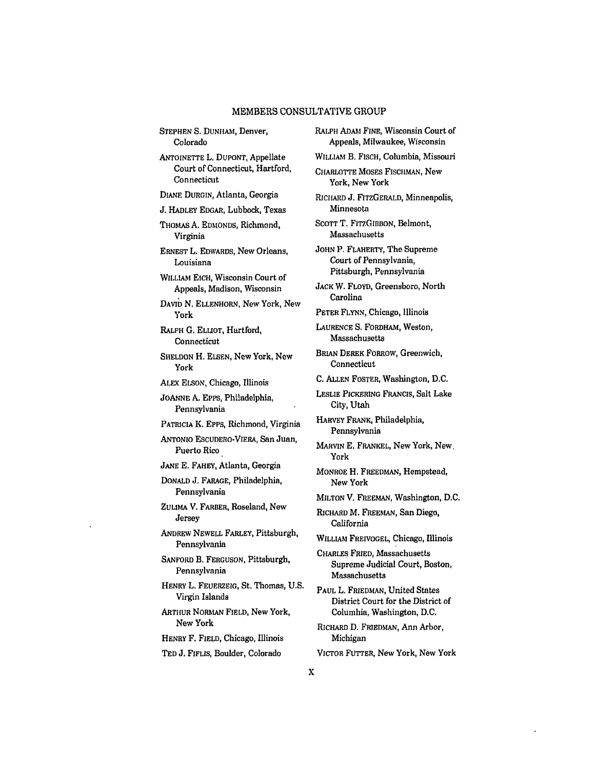STEPHEN S. DUNHAM, Denver, Colorado

ANTOINETTE L. DUPONT, Appellate Court of Connecticut, Hartford, Connecticut

DIANE DURGIN, Atlanta, Georgia

**J.** HADLEY EDGAR, Lubbock, Texas

THOMAS A. EDMONDS, Richmond, Virginia

ERNEST L. EDWARDS, New Orleans, Louisiana

WILLIAM EICH, Wisconsin Court of Appeals, Madison, Wisconsin

DAVID N. ELLENHORN, New York, New York

RALPH **G.** ELLIOT, Hartford, Connecticut

SHELDON H. ELSEN, New York, New York

ALEX ELSON, Chicago, Illinois

JOANNE A. EPps, Philadelphia, Pennsylvania

PATRICIA K. EPPs, Richmond, Virginia

ANTONIO ESCUDERO-VIERA, San Juan, Puerto Rico

JANE **E.** FAHEY, Atlanta, Georgia

DONALD J. FARAGE, Philadelphia, Pennsylvania

ZULIMA V. FARBER, Roseland, New Jersey

ANDREW NEWELL FARLEY, Pittsburgh, Pennsylvania

SANFORD B. FERGUSON, Pittsburgh, Pennsylvania

HENRY L. FEUERZEIG, St. Thomas, U.S. Virgin Islands

ARTHUR NORMAN FIELD, New York, New York

HENRY F. FIELD, Chicago, Illinois

**TED** J. FIFLIS, Boulder, Colorado

RALPH **ADAM FINE,** Wisconsin Court of Appeals, Milwaukee, Wisconsin WILLIAM **B.** FISCH, Columbia, Missouri CHARLOTTE MOSES FISCHMAN, New York, New York RICHARD **J.** FITZGERALD, Minneapolis, Minnesota SCOTT T. FITzGIBBON, Belmont, Massachusetts **JOHN** P. FLAHERTY, The Supreme Court of Pennsylvania, Pittsburgh, Pennsylvania **JACK** W. FLOYD, Greensboro, North Carolina PETER FLYNN, Chicago, Illinois LAURENCE **S.** FORDHAM, Weston, Massachusetts BRIAN DEREK FORROW, Greenwich, Connecticut **C.** ALLEN FOSTER, Washington, **D.C.** LESLIE PICKERING FRANCIS, Salt Lake City, Utah HARVEY FRANK, Philadelphia, Pennsylvania MARVIN **E.** FRANKEL, New York, New, York MONROE H. FREEDMAN, Hempstead, New York **MILTON** V. FREEMAN, Washington, **D.C.** RICHARD M. FREEMAN, San Diego, California WILLIAM FREIVOGEL, Chicago, Illinois CHARLES FRIED, Massachusetts Supreme Judicial Court, Boston, Massachusetts PAUL L. FRIEDMAN, United States District Court for the District of Columbia, Washington, D.C. RICHARD **D.** FRIEDMAN, Ann Arbor, Michigan VICTOR FUTTER, New York, New York $\bf{X}$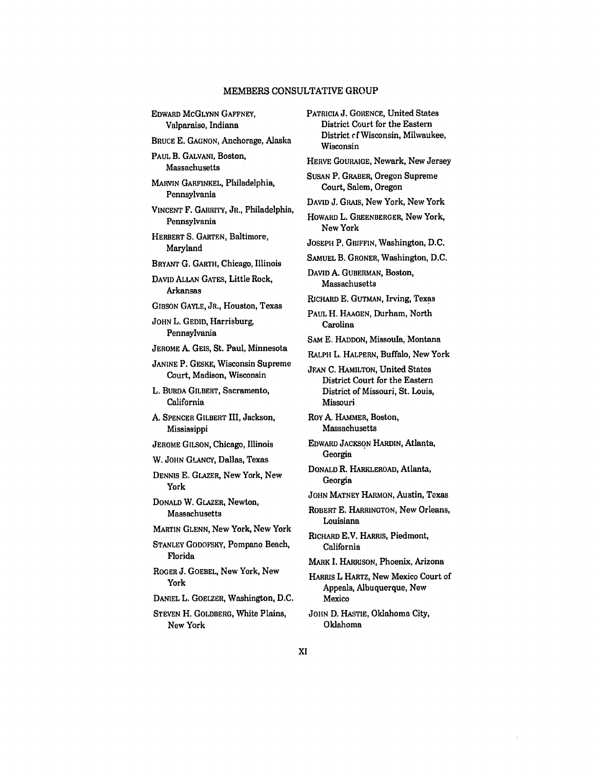EDWARD MCGLYNN GAFFNEY, Valparaiso, Indiana BRUCE E. GAGNON, Anchorage, Alaska PAUL B. GALVANI, Boston, Massachusetts MARVIN GARFINKEL, Philadelphia, Pennsylvania VINCENT F. GARRITY, JR., Philadelphia, Pennsylvania HERBERT S. GARTEN, Baltimore, Maryland BRYANT G. GARTH, Chicago, Illinois **DAVID** ALLAN GATES, Little Rock, Arkansas GIBSON GAYLE, JR., Houston, Texas JOHN L. GEDID, Harrisburg, Pennsylvania JEROME A. **GEIS,** St. Paul, Minnesota JANINE P. GESKE, Wisconsin Supreme Court, Madison, Wisconsin L. BURDA GILBERT, Sacramento, California **A.** SPENCER GILBERT III, Jackson, Mississippi JEROME GILSON, Chicago, Illinois W. JOHN GLANCY, Dallas, Texas DENNIS E. GLAZER, New York, New York DONALD W. GLAZER, Newton, Massachusetts MARTIN **GLENN,** New York, New York STANLEY GODOFSKY, Pompano Beach, Florida ROGER **J. GOEBEL,** New York, New York **DANIEL L.** GOELZER, Washington, **D.C.** STEVEN H. GOLDBERG, White Plains, New York PATRICIA **J.** GORENCE, United States

District Court for the Eastern District **of** Wisconsin, Milwaukee, Wisconsin HERVE GOURAIGE, Newark, New Jersey SUSAN P. GRABER, Oregon Supreme Court, Salem, Oregon **DAVID J.** GRAiS, New York, New York HOWARD L. GREENBERGER, New York, New York JOSEPH P. GRIFFIN, Washington, **D.C.** SAMUEL B. GRONER, Washington, **D.C.** DAVID **A.** GUBERMAN, Boston, Massachusetts RICHARD **E.** GUTMAN, Irving, Texas **PAUL** H. **HAAGEN,** Durham, North Carolina SAM **E. HADDON,** Missoula, Montana RALPH L. HALPERN, Buffalo, New York JEAN **C.** HAMILTON, United States District Court for the Eastern District of Missouri, St. Louis, Missouri ROY A. HAMMER, Boston, Massachusetts EDWARD JACKSON HARDIN, Atlanta, **Georgia** DONALD R. HARKLEROAD, Atlanta, Georgia **JOHN** MATNEY HARMON, Austin, Texas ROBERT **E.** HARRINGTON, New Orleans, Louisiana RICHARD E.V. HARRIS, Piedmont, California MARK I. HARRISON, Phoenix, Arizona HARRIS L HARTZ, New Mexico Court of Appeals, Albuquerque, New Mexico JOHN D. HASTIE, Oklahoma City, Oklahoma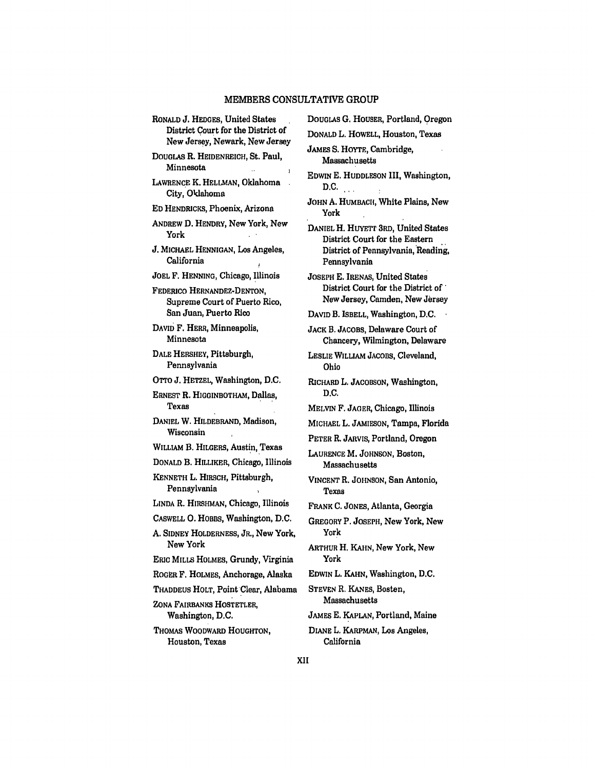RONALD **J. HEDGES,** United States District Court for the District of New Jersey, Newark, New Jersey DOUGLAS R. **HEIDENREICH,** St. Paul, Minnesota  $\mathbf{r}$ LAWRENCE K. **HELLMAN,** Oklahoma City, Oklahoma **ED HENDRICKS,** Phoenix, Arizona ANDREW **D.** HENDRY, New York, New York **J.** MICHAEL **HENNIGAN,** Los Angeles, California JOEL F. HENNING, Chicago, Illinois FEDERICO HERNANDEZ-DENTON, Supreme Court of Puerto Rico, San Juan, Puerto Rico **DAVID** F. HERR, Minneapolis, Minnesota **DALE** HERSHEY, Pittsburgh, Pennsylvania OTTO J. HETZEL, Washington, D.C. ERNEST R. **HIGGINBOTHAM,** Dallas, Texas DANIEL W. HILDEBRAND, Madison, Wisconsin WILLIAM B. HILGERS, Austin, Texas DONALD B. HILLIKER, Chicago, Illinois KENNETH L. HIRSCH, Pittsburgh, Pennsylvania **LINDA** R. HIRSHMAN, Chicago, Illinois CASWELL **0.** HOBBS, Washington, D.C. A. SIDNEY HOLDERNESS, JR., New York, New York ERIC MILLS HOLMES, Grundy, Virginia ROGER F. HOLMES, Anchorage, Alaska THADDEUS HOLT, Point'Clear, Alabama ZONA FAIRBANKS HOSTETLER, Washington, D.C. **THOMAS** WOODWARD HOUGHTON, Houston, Texas

DOUGLAS **G.** HOUSER, Portland, Oregon **DONALD** L. HOWELL, Houston, Texas JAMES S. HOYTE, Cambridge, Massachusetts **EDWIN** E. **HUDDLESON** III, Washington, **D.C. JOHN** A. HUMBACH, White Plains, New York DANIEL H. HUYETr 3RD, United States District Court for the Eastern District of Pennsylvania, Reading, Pennsylvania JOSEPH **E. IRENAS,** United States District Court for the District *of'* New Jersey, Camden, New Jersey **DAVID** B. ISBELL, Washington, D.C. **JACK** B. JACOBS, Delaware Court of Chancery, Wilmington, Delaware LESLIE WILLIAM **JACOBS,** Cleveland, Ohio RICHARD L. JACOBSON, Washington, **D.C.** MELVIN F. **JAGER,** Chicago, Illinois **MICHAEL** L. **JAMIESON,** Tampa, Florida PETER R. JARVIS, Portland, Oregon LAURENCE M. **JOHNSON,** Boston, Massachusetts **VINCENT** R. **JOHNSON,** San Antonio, Texas FRANK **C.** JONES, Atlanta, Georgia GREGORY P. JOSEPH, New York, New York ARTHUR H. KAHN, New York, New York **EDWIN** L. **KAHN,** Washington, **D.C. STEVEN** R. KANES, Boston, Massachusetts JAMES E. KAPLAN, Portland, Maine **DIANE** L. KARPMAN, Los Angeles, California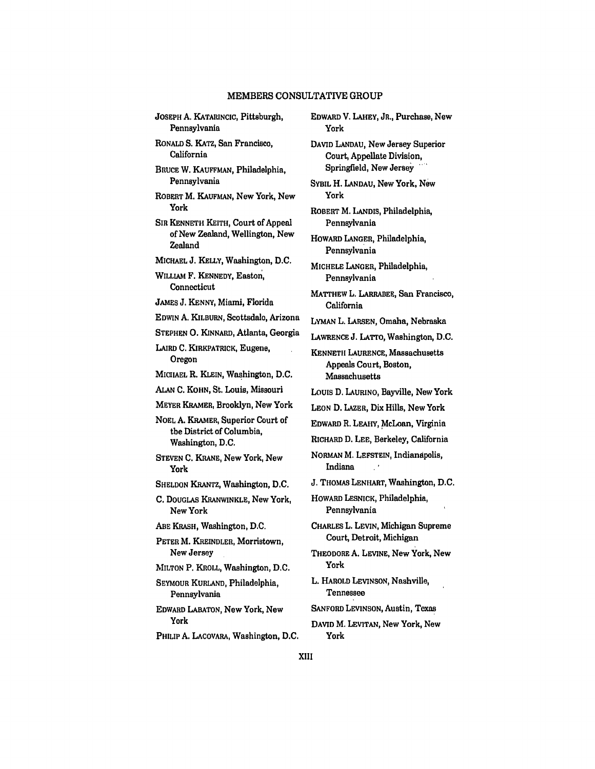| JOSEPH A. KATARINCIC, Pittsburgh,<br>Pennsylvania                                |
|----------------------------------------------------------------------------------|
| RONALD S. KATZ, San Francisco,<br>California                                     |
| BRUCE W. KAUFFMAN, Philadelphia,<br>Pennsylvania                                 |
| ROBERT M. KAUFMAN, New York, New<br>York                                         |
| SIR KENNETH KEITH, Court of Appeal<br>of New Zealand, Wellington, New<br>Zealand |
| MICHAEL J. KELLY, Washington, D.C.                                               |
| _____<br>---                                                                     |

WILLIAM F. KENNEDY, Easton, Connecticut

JAMES **J. KENNY,** Miami, Florida

**EDWIN** A. KILBURN, Scottsdale, Arizona

**STEPHEN 0. KINNARD,** Atlanta, Georgia

LAIRD **C.** KIRKPATRICK, Eugene, Oregon

**MICHAEL** R. **KLEIN,** Washington, **D.C.**

**ALAN C.** KOHN, St. Louis, Missouri

MEYER KRAMER, Brooklyn, New York

**NOEL A.** KRAMER, Superior Court of the District of Columbia, Washington, **D.C.**

**STEVEN C.** KRANE, New York, New York

**SHELDON** KRANTZ, Washington, **D.C.**

**C.** DOUGLAS KRANWINKLE, New York, New York

**ABE** KRASH, Washington, **D.C.**

PETER M. KREINDLER, Morristown, New Jersey

MILTON P. KROLL, Washington, D.C.

SEYMOUR KURLAND, Philadelphia, Pennsylvania

EDWARD LABATON, New York, New York

PHILIP **A.** LACOVARA, Washington, **D.C.**

EDWARD V. LAHEY, JR., Purchase, New York **DAVID** LANDAU, New Jersey Superior Court, Appellate Division, Springfield, New Jersey **SYBIL** H. LANDAU, New York, New York ROBERT M. LANDIS, Philadelphia, Pennsylvania HOWARD LANGER, Philadelphia, Pennsylvania MICHELE LANGER, Philadelphia, Pennsylvania MATTHEW L. LARRABEE, San Francisco, California LYMAN L. **LARSEN,** Omaha, Nebraska LAWRENCE J. LATTO, Washington, **D.C.** KENNETH LAURENCE, Massachusetts Appeals Court, Boston, Massachusetts Louis D. LAURINO, Bayville, New York LEON D. LAZER, Dix Hills, New York EDWARD R. **LEAHY,** McLean, Virginia RICHARD D. LEE, Berkeley, California NORMAN M. LEFSTEIN, Indianapolis, Indiana **I** J. THOMAS LENHART, Washington, D.C. HOWARD **LESNICK,** Philadelphia, Pennsylvania CHARLES L. LEVIN, Michigan Supreme Court, Detroit, Michigan THEODORE **A.** LEVINE, New York, New York L. HAROLD LEVINSON, Nashville, Tennessee SANFORD LEVINSON, Austin, Texas

DAVID M. LEVITAN, New York, New York

XIII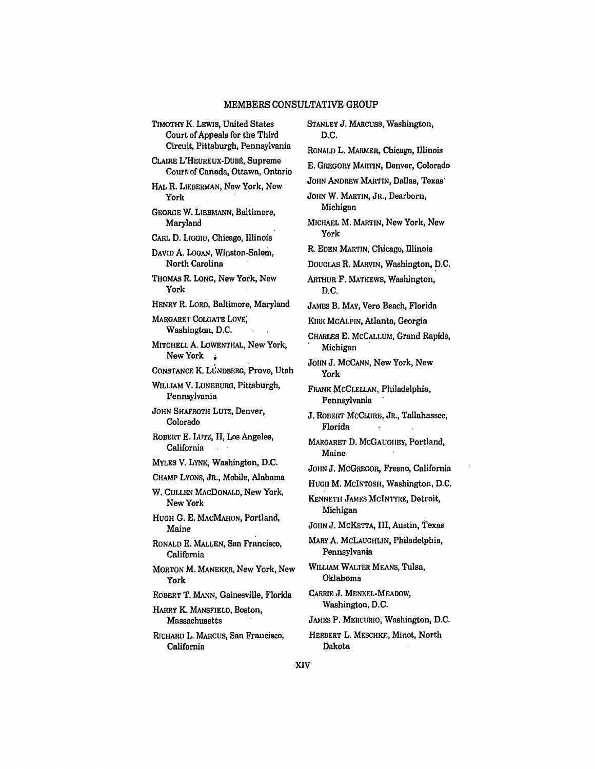TIMOTHY K, LEWIS, United States Court of Appeals for the Third Circuit, Pittsburgh, Pennsylvania CLAIRE L'HEUREUX-DUBÉ, Supreme Court of Canada, Ottawa, Ontario HAL R. LIEBERMAN, New York, New York GEORGE W. LIEBMANN, Baltimore, Maryland CARL D. **LIGGIO,** Chicago, Illinois **DAVID A.** LOGAN, Winston.Salem, North Carolina THOMAS R. **LONG,** New York, New York HENRY R. LORD, Baltimore, Maryland MARGARET COLGATE LOVE; Washington, D.C. MITCHELL **A.** LOWENTHAL, New York, New York CONSTANCE K. LUNDBERG, Provo, Utah WILLIAM V. LUNEBURO, Pittsburgh, Pennsylvania JOHN SHAFROTH LuTz, Denver, Colorado ROBERT **E.** LUTZ, II, Los Angeles, California MYLES V. LYNK, Washington, **D.C.** CHAMP LYONS, JR., Mobile, Alabama W. CULLEN MACDONALD, New York, New York HUGH G. E. MACMAHON, Portland, Maine RONALD E. MALLEN, San Francisco, California MORTON M. MANEKER, New York, New York ROBERT T. MANN, Gainesville, Florida HARRY K. MANSFIELD, Boston, Massachusetts RICHARD L. MARCUS, San Francisco, California

STANLEY **J.** MARCUSS, Washington, **D.C.** RONALD L. MARMER, Chicago, Illinois **E.** GREGORY MARTIN, Denver, Colorado **JOHN ANDREW MARTIN, Dallas, Texas** JOHN W. MARTIN, JR., Dearborn, Michigan MICHAEL M. MARTIN, New York, New York R. **EDEN** MARTIN, Chicago, Illinois DOUGLAS R. MARVIN, Washington, D.C. ARTHUR F. MATHEWS, Washington, **D.C.** JAMES B. MAY, Vero Beach, Florida KIRK McALPIN, Atlanta, Georgia CHARLES **E.** MCCALLUM, Grand Rapids, Michigan JOHN J. MCCANN, New York, New York FRANK MCCLELLAN, Philadelphia, Pennsylvania **J.** ROBERT MCCLURE, JR., Tallahassee, Florida MARGARET **D.** MCGAUGIIEY, Portland, Maine **JOHN J.** MCGREGOR, Fresno, California HUGH M. MCINTOSH, Washington, D.C. KENNETH JAMES MCINTYRE, Detroit, Michigan JOIIN J. MCKETTA, III, Austin, Texas MARY **A.** McLAUGHLIN, Philadelphia, Pennsylvania WILLIAM WALTER MEANS, Tulsa, Oklahoma CARRIE J. MENKEL-MEADOW, Washington, D.C. JAMES P. MERCURIO, Washington, D.C. HERBERT L. MESCHKE, Minot, North Dakota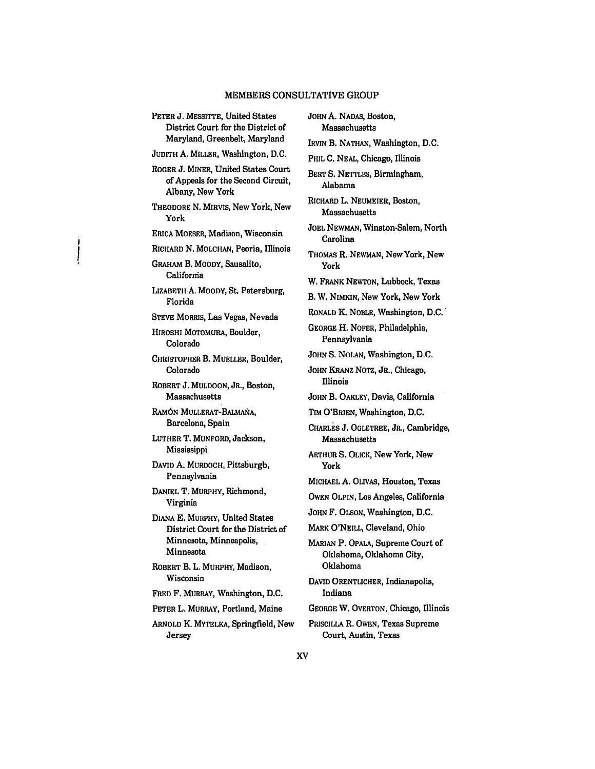PETER **J.** MESSITTE, United States District Court for the District of Maryland, Greenbelt, Maryland **JUDITH** A. MILLER, Washington, D.C. ROGER **J.** MINER, United States Court of Appeals for the Second Circuit, Albany, New York THEODORE N. MIRVIS, New York, New York ERIcA MOESER, Madison, Wisconsin RICHARD N. MOLCHAN, Peoria, Illinois GRAHAM B. MOODY, Sausalito, **Califormia** LIZABETH A. MOODY, St. Petersburg, Florida STEVE MORRIS, Las Vegas, Nevada HIROSHI MOTOMURA, Boulder, Colorado CHRISTOPHER B. MUELLER, Boulder, Colorado ROBERT **J.** MULDOON, JR., Boston, Massachusetts RAMÓN MULLERAT-BALMAÑA, Barcelona, Spain LUTHER T. MUNFORD, Jackson, Mississippi DAVID **A.** MURDOCH, Pittsburgh, Pennsylvania DANIEL T. MURPHY, Richmond, Virginia DIANA **E.** MURPHY, United States District Court for the District of Minnesota, Minneapolis, Minnesota ROBERT B. L. MURPHY, Madison, Wisconsin FRED F. MURRAY, Washington, D.C. PETER L. MURRAY, Portland, Maine ARNOLD K. MYTELKA, Springfield, New Jersey

**JOHN A.** NADAS, Boston, Massachusetts IRVIN B. NATHAN, Washington, D.C. PHIL C. **NEAL,** Chicago, Illinois BERT S. NETTLES, Birmingham, Alabama RICHARD L. NEUMEIER, Boston, Massachusetts JOEL NEWMAN, Winston.Salem, North Carolina THOMAS R., NEWMAN, New York, New York W. FRANK NEWTON, Lubbock, Texas B. W. **NIMKIN,** New York, New York RONALD K. NOBLE, Washington, **D.C.'** GEORGE H. NOFER, Philadelphia, Pennsylvania JOHN S. NOLAN, Washington, D.C. JOHN KRANZ NOTZ, JR., Chicago, Illinois JOHN B. OAKLEY, Davis, California Tim O'BRIEN, Washington, D.C. CHARLS **J.** OGLETREE, JR., Cambridge, Massachusetts ARTHUR S. OLICK, New York, New York MICHAEL A. OLIVAS, Houston, Texas **OWEN OLPIN, Los** Angeles, California **JOHN** F. **OLSON,** Washington, **D.C.** MARK O'NEILL, Cleveland, Ohio MARIAN P. OPALA, Supreme Court of Oklahoma, Oklahoma City, Oklahoma DAVID ORENTLICHER, Indianapolis, Indiana GEORGE W. OVERTON, Chicago, Illinois PRISCILLA R. OWEN, Texas Supreme Court, Austin, Texas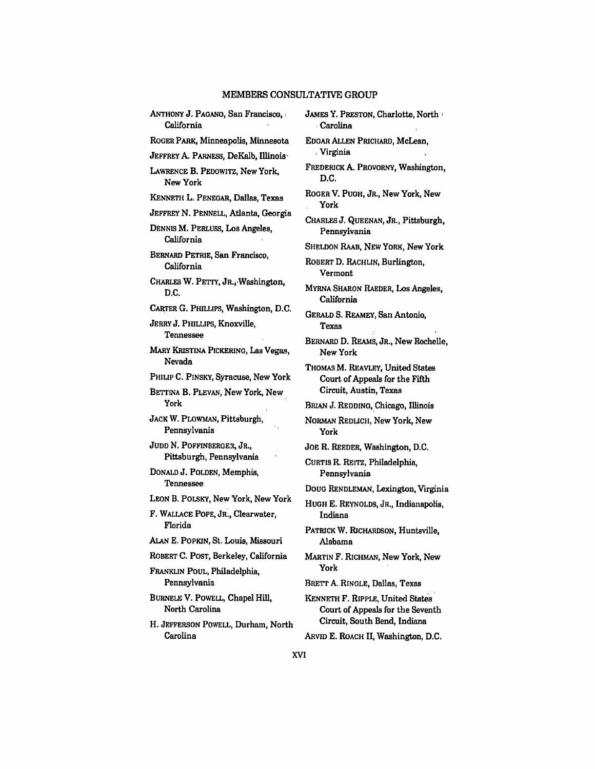**ANTHONY J. PAGANO, San Francisco,** California ROGER PARK, Minneapolis, Minnesota **JEFFREY** A. PARNESS, DeKalb, Illinois LAWRENCE **B.** PEDOWITZ, New York, New York KENNETH L. PENEGAR, Dallas, Texas JEFFREY **N. PENNELL,** Atlanta, Georgia DENNIS M. PERLUSS, Los Angeles, California BERNARD PETRIE, San Francisco, California CHARLES W. PETTY, JR.jWashington, **D.C.** CARTER **G.** PHILLIPS, Washington, **D.C.** JERRY J. PHILLIPS, Knoxville, Tennessee MARY KRISTINA PICKERING, Las Vegas, Nevada PHILIP **C.** PINSKY, Syracuse, New York BETTINA B. PLEVAN, New York, New York **JACK** W. PLOWMAN, Pittsburgh, Pennsylvania JUDD **N.** POFFINBERGER, JR., Pittsburgh, Pennsylvania DONALD **J.** POLDEN, Memphis, Tennessee LEON B. POLSKY, New York, New York F. **WALLACE** POPE, JR., Clearwater, Florida **ALAN E.** POPKIN, St. Louis, Missouri ROBERT **C.** POST, Berkeley, California FRANKLIN **POUL,** Philadelphia, Pennsylvania BURNELE V. POWELL, Chapel Hill, North Carolina H. JEFFERSON POWELL, Durham, North Carolina

JAMES Y. PRESTON, Charlotte, North **.**Carolina EDGAR ALLEN PRICHARD, McLean, **,** Virginia FREDERICK **A.** PROvORNY, Washington, **D.C.** ROGER V. PUGH, JR., New York, New York CHARLES **J.** QUEENAN, JR., Pittsburgh, Pennsylvania SHELDON RAAB, **NEW** YORK, New York ROBERT **D.** RACHLIN, Burlington, Vermont MYRNA **SHARON** RAEDER, Los Angeles, California GERALD S. REAMEY, San Antonio, Texas BERNARD D. REAMS, JR., New Rochelle, New York THOMAS M. REAVLEY, United States Court of Appeals for the Fifth Circuit, Austin, Texas BRIAN J. REDDING, Chicago, Illinois NORMAN REDLICH, New York, New York JOE R. REEDER, Washington, **D.C.** CURTIS R. REITZ, Philadelphia, Pennsylvania **DOUG** RENDLEMAN, Lexington, Virginia HUGH E. REYNOLDS, JR., Indianapolis, Indiana PATRICK W. RICHARDSON, Huntsville, Alabama MARTIN F. RICHMAN, New York, New York BRETT **A.** RINGLE, Dallas, Texas KENNETH F. RIPPLE, United States Court of Appeals for the Seventh Circuit, South Bend, Indiana ARVID E. ROACH II, Washington, D.C.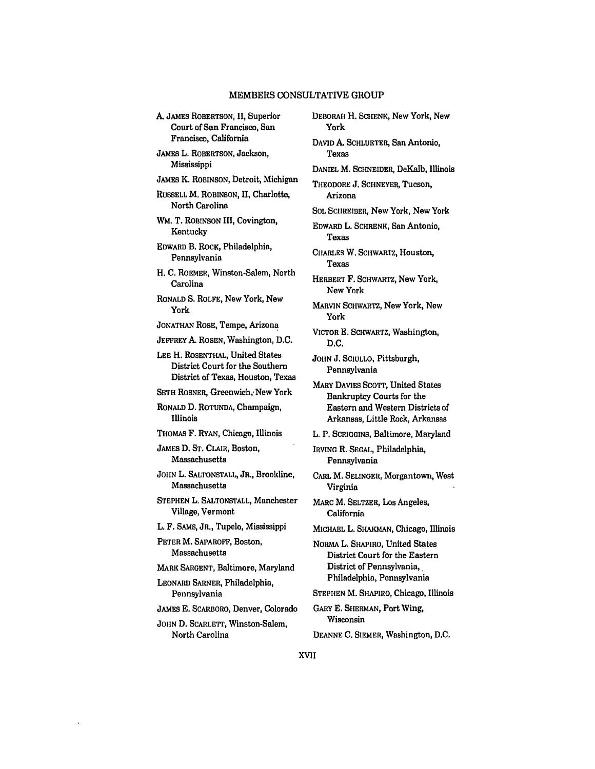A. JAMES ROBERTSON, **II,** Superior Court of San Francisco, San Francisco, California JAMES L. ROBERTSON, Jackson, Mississippi JAMES K. **ROBINSON,** Detroit, Michigan RUSSELL M. **ROBINSON, II,** Charlotte, North Carolina WM. T. ROBINSON **III,** Covington, Kentucky EDWARD B. ROCK, Philadelphia, Pennsylvania H. **C.** ROEMER, Winston-Salem, North Carolina RONALD **S.** ROLFE, New York, New York JONATHAN ROSE, Tempe, Arizona JEFFREY **A.** ROSEN, Washington, **D.C. LEE** H. ROSENTHAL, United States District Court for the Southern District of Texas, Houston, Texas SETH ROSNER, Greenwich, New York RONALD D. **ROTUNDA,** Champaign, Illinois THOMAS F. RYAN, Chicago, Illinois JAMES **D. ST.** CLAIR, Boston, Massachusetts **JOHN** L. **SALTONSTALL,** JR., Brookline, Massachusetts **STEPHEN** L. **SALTONSTALL,** Manchester Village, Vermont L. F. **SAMS,** JR., Tupelo, Mississippi PETER M. SAPAROFF, Boston, Massachusetts MARK **SARGENT,** Baltimore, Maryland LEONARD SARNER, Philadelphia, Pennsylvania JAMES E. SCARBORO, Denver, Colorado JOHN D. SCARLETT, Winston-Salem, North Carolina DEBORAH H. **SCHENK,** New York, New York Texas Arizona Texas Texas New York York D.C. Pennsylvania Pennsylvania Virginia California Wisconsin DEANNE **C.** SIEMER, Washington, **D.C.**

DAVID **A.** SCHLUETER, San Antonio, DANIEL M. SCHNEIDER, DeKalb, Illinois THEODORE J. SCHNEYER, Tucson, SOL SCHREIBER, New York, New York EDWARD L. SCHRENK, San Antonio, CHARLES W. SCHWARTZ, Houston, HERBERT F. SCHWARTZ, New York, MARVIN SCHwARTZ, New York, New VICTOR E. SCHWARTZ, Washington, JOHN J. **SCIULLO,** Pittsburgh, MARY DAVIES SCOTT, United States Bankruptcy Courts for the Eastern and Western Districts of Arkansas, Little Rock, Arkansas L. P. **SCRIGGINS,** Baltimore, Maryland IRVING R. SEGAL, Philadelphia, CARL M. SELINGER, Morgantown, West MARC M. SELTZER, Los Angeles, MICHAEL L. SHAKmAN, Chicago, Illinois NORMA L. SHAPIRO, United States District Court for the Eastern District of Pennsylvania, Philadelphia, Pennsylvania STEPHEN M. SHAPIRO, Chicago, Illinois GARY E. SHERMAN, Port Wing,

**XVII**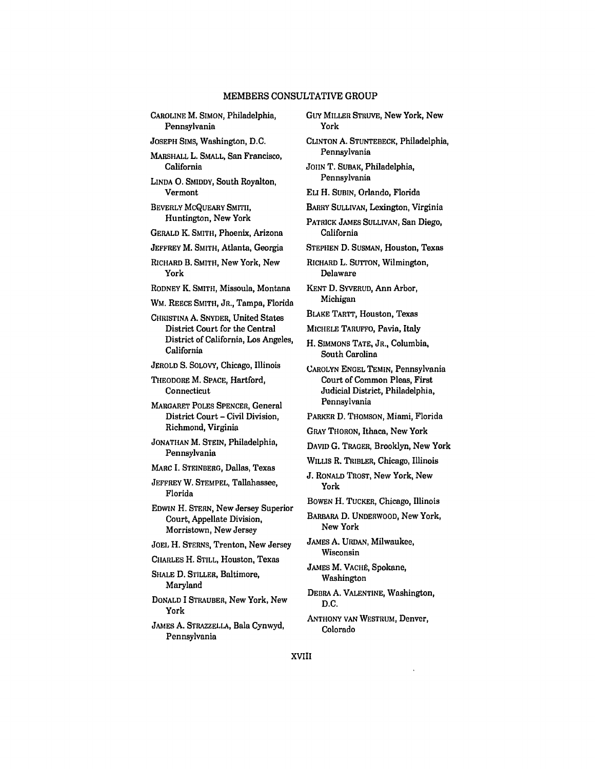| CAROLINE M. SIMON, Philadelphia, |  |
|----------------------------------|--|
| Pennsylvania                     |  |

JOSEPH SIMS, Washington, D.C.

MARSHALL L. SMALL, San Francisco, California

LINDA **0.** SMIDDY, South Royalton, Vermont

BEVERLY MCQUEARY SMITH, Huntington, New York

GERALD K. SMITH, Phoenix, Arizona

JEFFREY M. SMITH, Atlanta, Georgia

RICHARD B. SMITH, New York, New York

RODNEY K. SMITH, Missoula, Montana

WM. REECE SMITH, JR., Tampa, Florida

**CHRISTINA** A. SNYDER, United States District Court for the Central District of California, Los Angeles, California

**JEROLD S.** SOLOVY, Chicago, Illinois

THEODORE M. SPACE, Hartford, Connecticut

MARGARET POLES SPENCER, General District Court - Civil Division, Richmond, Virginia

JONATHAN M. STEIN, Philadelphia, Pennsylvania

MARC I. STEINBERG, Dallas, Texas

JEFFREY W. STEMPEL, Tallahassee, Florida

**EDWIN** H. STERN, New Jersey Superior Court, Appellate Division, Morristown, New Jersey

JOEL H. STERNS, Trenton, New Jersey

CHARLES H. STILL, Houston, Texas

SHALE **D.** STILLER, Baltimore, Maryland

DONALD **I** STRAUBER, New York, New York

JAMES **A.** STRAZZELLA, Bala Cynwyd, Pennsylvania

GuY MILLER STRUVE, New York, New York

**CLINTON A.** STUNTEBECK, Philadelphia, Pennsylvania

JOHN T. SUBAK, Philadelphia, Pennsylvania

ELI H. SUBIN, Orlando, Florida

BARRY SULLIVAN, Lexington, Virginia

PATRICK **JAMES** SULLIVAN, San Diego, California

STEPHEN **D.** SUSMAN, Houston, Texas

RICHARD L. SUTTON, Wilmington, Delaware

KENT D. SYVERUD, Ann Arbor, Michigan

BLAKE TARTT, Houston, Texas

MICHELE TARUFFO, Pavia, Italy

H. SIMMONS TATE, JR., Columbia, South Carolina

CAROLYN ENGEL TEMIN, Pennsylvania Court of Common Pleas, First Judicial District, Philadelphia, Pennsylvania

PARKER **D.** THOMSON, Miami, Florida

GRAY THORON, Ithaca, New York

**DAVID G.** TRAGER, Brooklyn, New York

WILLIS R. TRIBLER, Chicago, Illinois

**J.** RONALD TROST, New York, New York

BOWEN H. TUCKER, Chicago, Illinois

BARBARA **D. UNDERWOOD,** New York, New York

JAMES **A. URDAN,** Milwaukee, Wisconsin

JAMES M. VACHÉ, Spokane, Washington

DEBRA A. VALENTINE, Washington, D.C.

ANTHONY VAN WESTRUM, Denver, Colorado

XVIII